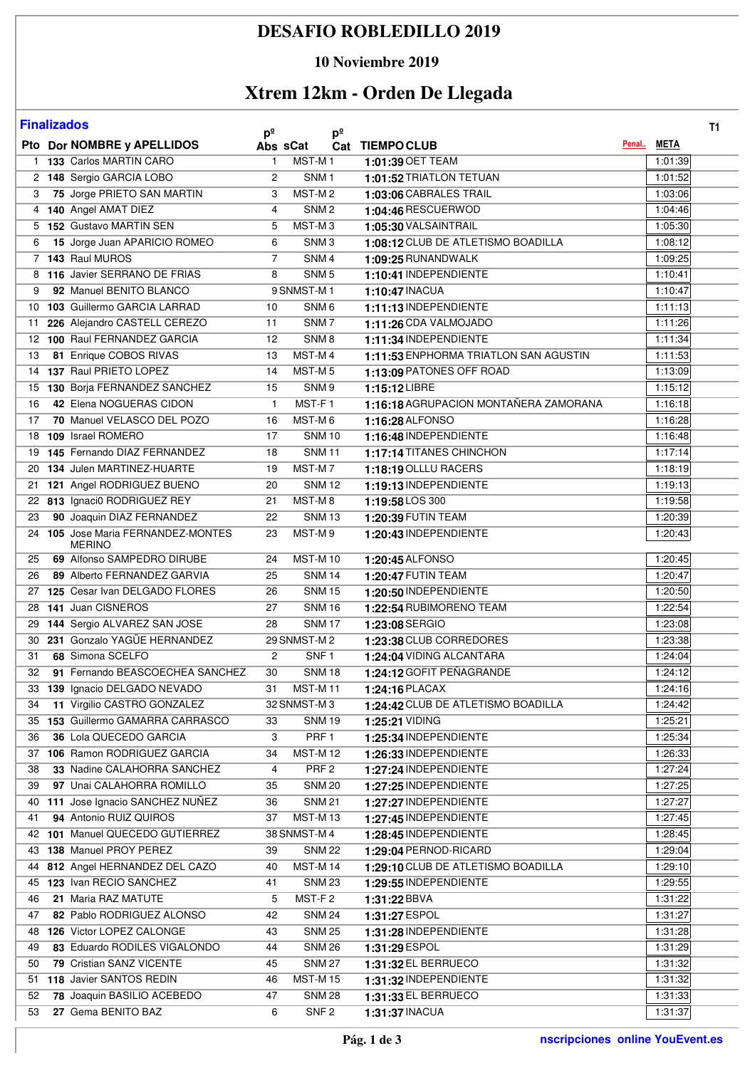## **DESAFIO ROBLEDILLO 2019**

### **10 Noviembre 2019**

# **Xtrem 12km - Orden De Llegada**

| <b>Finalizados</b><br>$p^{\circ}$<br>$p^{\circ}$ |  |                                                          |                |                                |                                              |  |                    | <b>T1</b> |
|--------------------------------------------------|--|----------------------------------------------------------|----------------|--------------------------------|----------------------------------------------|--|--------------------|-----------|
|                                                  |  | Pto Dor NOMBRE y APELLIDOS                               | Abs sCat       |                                | Cat TIEMPOCLUB                               |  | Penal META         |           |
|                                                  |  | 1 133 Carlos MARTIN CARO                                 | $\mathbf{1}$   | MST-M1                         | 1:01:39 OET TEAM                             |  | 1:01:39            |           |
|                                                  |  | 2 148 Sergio GARCIA LOBO                                 | $\overline{2}$ | SNM <sub>1</sub>               | 1:01:52 TRIATLON TETUAN                      |  | 1:01:52            |           |
| 3                                                |  | 75 Jorge PRIETO SAN MARTIN                               | 3              | MST-M2                         | 1:03:06 CABRALES TRAIL                       |  | 1:03:06            |           |
|                                                  |  | 4 140 Angel AMAT DIEZ                                    | $\overline{4}$ | SNM <sub>2</sub>               | 1:04:46 RESCUERWOD                           |  | 1:04:46            |           |
|                                                  |  | 5 152 Gustavo MARTIN SEN                                 | 5              | MST-M <sub>3</sub>             | 1:05:30 VALSAINTRAIL                         |  | 1:05:30            |           |
| 6                                                |  | 15 Jorge Juan APARICIO ROMEO                             | 6              | SNM <sub>3</sub>               | 1:08:12 CLUB DE ATLETISMO BOADILLA           |  | 1:08:12            |           |
|                                                  |  | 7 143 Raul MUROS                                         | $\overline{7}$ | SNM <sub>4</sub>               | 1:09:25 RUNANDWALK                           |  | 1:09:25            |           |
|                                                  |  | 8 116 Javier SERRANO DE FRIAS                            | 8              | SNM <sub>5</sub>               | 1:10:41 INDEPENDIENTE                        |  | 1:10:41            |           |
| 9                                                |  | 92 Manuel BENITO BLANCO                                  |                | 9 SNMST-M1                     | 1:10:47 INACUA                               |  | 1:10:47            |           |
|                                                  |  | 10 103 Guillermo GARCIA LARRAD                           | 10             | SNM <sub>6</sub>               | 1:11:13 INDEPENDIENTE                        |  | 1:11:13            |           |
| 11                                               |  | 226 Alejandro CASTELL CEREZO                             | 11             | SNM7                           | 1:11:26 CDA VALMOJADO                        |  | 1:11:26            |           |
|                                                  |  | 12 100 Raul FERNANDEZ GARCIA                             | 12             | SNM <sub>8</sub>               | 1:11:34 INDEPENDIENTE                        |  | 1:11:34            |           |
| 13                                               |  | 81 Enrique COBOS RIVAS                                   | 13             | MST-M4                         | 1:11:53 ENPHORMA TRIATLON SAN AGUSTIN        |  | 1:11:53            |           |
|                                                  |  | 14 137 Raul PRIETO LOPEZ                                 | 14             | MST-M <sub>5</sub>             | 1:13:09 PATONES OFF ROAD                     |  | 1:13:09            |           |
|                                                  |  | 15 130 Borja FERNANDEZ SANCHEZ                           | 15             | SNM <sub>9</sub>               | 1:15:12 LIBRE                                |  | 1:15:12            |           |
| 16                                               |  | 42 Elena NOGUERAS CIDON                                  | $\mathbf{1}$   | MST-F1                         | 1:16:18 AGRUPACION MONTAÑERA ZAMORANA        |  | 1:16:18            |           |
| 17                                               |  | 70 Manuel VELASCO DEL POZO                               | 16             | MST-M6                         | 1:16:28 ALFONSO                              |  | 1:16:28            |           |
|                                                  |  | 18 109 Israel ROMERO                                     | 17             | <b>SNM10</b>                   | 1:16:48 INDEPENDIENTE                        |  | 1:16:48            |           |
|                                                  |  | 19 145 Fernando DIAZ FERNANDEZ                           | 18             | <b>SNM11</b>                   | 1:17:14 TITANES CHINCHON                     |  | 1:17:14            |           |
| 20                                               |  | 134 Julen MARTINEZ-HUARTE                                | 19             | MST-M7                         | 1:18:19 OLLLU RACERS                         |  | 1:18:19            |           |
|                                                  |  | 21 121 Angel RODRIGUEZ BUENO                             | 20             | <b>SNM12</b>                   | 1:19:13 INDEPENDIENTE                        |  | 1:19:13            |           |
|                                                  |  | 22 813 Ignaci0 RODRIGUEZ REY                             | 21             | MST-M8                         | 1:19:58 LOS 300                              |  | 1:19:58            |           |
| 23                                               |  | 90 Joaquin DIAZ FERNANDEZ                                | 22             | <b>SNM13</b>                   | 1:20:39 FUTIN TEAM                           |  | 1:20:39            |           |
|                                                  |  | 24 105 Jose Maria FERNANDEZ-MONTES<br><b>MERINO</b>      | 23             | MST-M9                         | 1:20:43 INDEPENDIENTE                        |  | 1:20:43            |           |
| 25                                               |  | 69 Alfonso SAMPEDRO DIRUBE                               | 24             | <b>MST-M10</b>                 | 1:20:45 ALFONSO                              |  | 1:20:45            |           |
| 26                                               |  | 89 Alberto FERNANDEZ GARVIA                              | 25             | <b>SNM 14</b>                  | 1:20:47 FUTIN TEAM                           |  | 1:20:47            |           |
|                                                  |  | 27 125 Cesar Ivan DELGADO FLORES                         | 26             | <b>SNM15</b>                   | 1:20:50 INDEPENDIENTE                        |  | 1:20:50            |           |
| 28                                               |  | 141 Juan CISNEROS                                        | 27             | <b>SNM16</b>                   | 1:22:54 RUBIMORENO TEAM                      |  | 1:22:54            |           |
|                                                  |  | 29 144 Sergio ALVAREZ SAN JOSE                           | 28             | <b>SNM17</b>                   | 1:23:08 SERGIO                               |  | 1:23:08            |           |
|                                                  |  | 30 231 Gonzalo YAGÜE HERNANDEZ                           |                | 29 SNMST-M2                    | 1:23:38 CLUB CORREDORES                      |  | 1:23:38            |           |
| 31                                               |  | 68 Simona SCELFO                                         | $\overline{2}$ | SNF <sub>1</sub>               | 1:24:04 VIDING ALCANTARA                     |  | 1:24:04            |           |
| 32                                               |  | 91 Fernando BEASCOECHEA SANCHEZ                          | 30             | <b>SNM 18</b>                  | 1:24:12 GOFIT PEÑAGRANDE                     |  | 1:24:12            |           |
|                                                  |  | 33 139 Ignacio DELGADO NEVADO                            | 31             | <b>MST-M11</b>                 | 1:24:16 PLACAX                               |  | 1:24:16            |           |
| 34                                               |  | 11 Virgilio CASTRO GONZALEZ                              |                | 32 SNMST-M3                    | 1:24:42 CLUB DE ATLETISMO BOADILLA           |  | 1:24:42            |           |
|                                                  |  | 35 153 Guillermo GAMARRA CARRASCO                        | 33             | <b>SNM 19</b>                  | 1:25:21 VIDING                               |  | 1:25:21            |           |
| 36                                               |  | 36 Lola QUECEDO GARCIA                                   | 3              | PRF <sub>1</sub>               | 1:25:34 INDEPENDIENTE                        |  | 1:25:34            |           |
|                                                  |  | 37 106 Ramon RODRIGUEZ GARCIA                            | 34             | <b>MST-M12</b>                 | 1:26:33 INDEPENDIENTE                        |  | 1:26:33            |           |
| 38                                               |  | 33 Nadine CALAHORRA SANCHEZ                              | 4              | PRF <sub>2</sub>               | 1:27:24 INDEPENDIENTE                        |  | 1:27:24            |           |
| 39                                               |  | 97 Unai CALAHORRA ROMILLO                                | 35             | <b>SNM 20</b>                  | 1:27:25 INDEPENDIENTE                        |  | 1:27:25            |           |
|                                                  |  | 40 111 Jose Ignacio SANCHEZ NUÑEZ                        | 36             | <b>SNM 21</b>                  | 1:27:27 INDEPENDIENTE                        |  | 1:27:27            |           |
| 41                                               |  | 94 Antonio RUIZ QUIROS                                   | 37             | <b>MST-M13</b>                 | 1:27:45 INDEPENDIENTE                        |  | 1:27:45            |           |
|                                                  |  | 42 101 Manuel QUECEDO GUTIERREZ                          |                | 38 SNMST-M 4                   | 1:28:45 INDEPENDIENTE                        |  | 1:28:45            |           |
|                                                  |  | 43 138 Manuel PROY PEREZ                                 | 39             | <b>SNM 22</b>                  | 1:29:04 PERNOD-RICARD                        |  | 1:29:04            |           |
|                                                  |  | 44 812 Angel HERNANDEZ DEL CAZO                          | 40             | <b>MST-M14</b>                 | 1:29:10 CLUB DE ATLETISMO BOADILLA           |  | 1:29:10            |           |
|                                                  |  | 45 123 Ivan RECIO SANCHEZ                                | 41             | <b>SNM 23</b>                  | 1:29:55 INDEPENDIENTE                        |  | 1:29:55            |           |
| 46                                               |  | 21 Maria RAZ MATUTE                                      | 5              | MST-F2                         | 1:31:22 BBVA                                 |  | 1:31:22            |           |
| 47                                               |  | 82 Pablo RODRIGUEZ ALONSO                                | 42             | <b>SNM 24</b>                  | 1:31:27 ESPOL                                |  | 1:31:27            |           |
|                                                  |  | 48 126 Victor LOPEZ CALONGE                              | 43             | <b>SNM 25</b>                  | 1:31:28 INDEPENDIENTE                        |  | 1:31:28            |           |
| 49                                               |  | 83 Eduardo RODILES VIGALONDO<br>79 Cristian SANZ VICENTE | 44             | <b>SNM 26</b><br><b>SNM 27</b> | 1:31:29 ESPOL                                |  | 1:31:29<br>1:31:32 |           |
| 50                                               |  |                                                          | 45             | <b>MST-M15</b>                 | 1:31:32 EL BERRUECO<br>1:31:32 INDEPENDIENTE |  |                    |           |
| 51                                               |  | 118 Javier SANTOS REDIN<br>78 Joaquin BASILIO ACEBEDO    | 46<br>47       | <b>SNM 28</b>                  | 1:31:33 EL BERRUECO                          |  | 1:31:32<br>1:31:33 |           |
| 52<br>53                                         |  | 27 Gema BENITO BAZ                                       | 6              | SNF <sub>2</sub>               | 1:31:37 INACUA                               |  | 1:31:37            |           |
|                                                  |  |                                                          |                |                                |                                              |  |                    |           |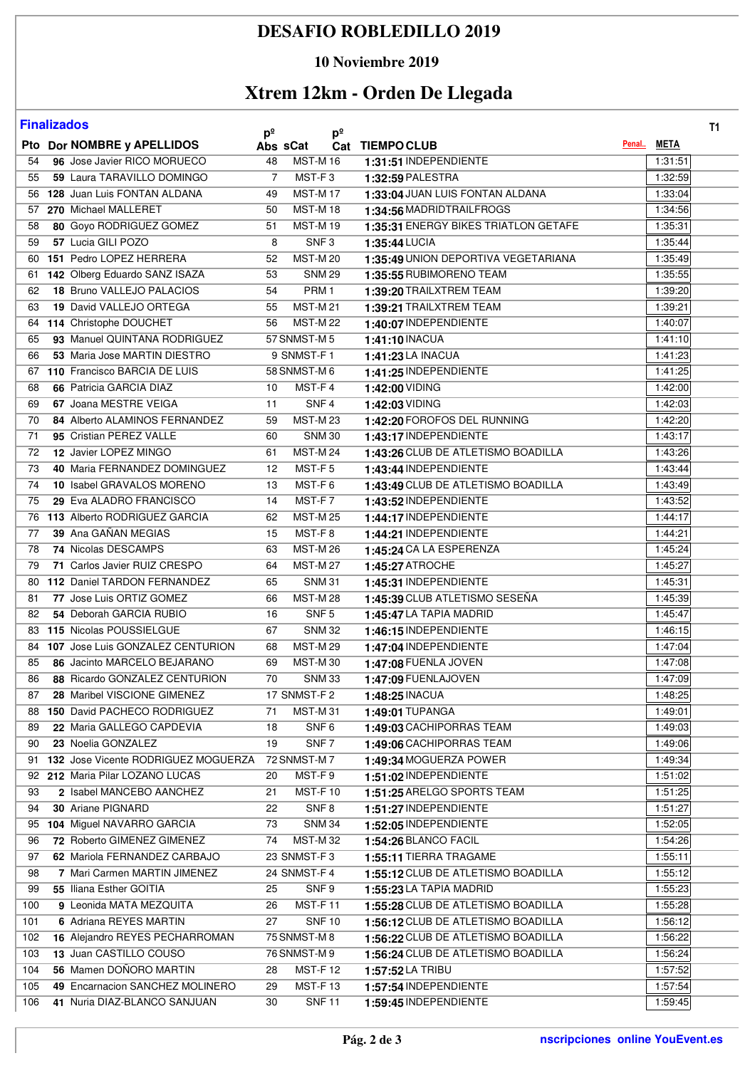## **DESAFIO ROBLEDILLO 2019**

#### **10 Noviembre 2019**

# **Xtrem 12km - Orden De Llegada**

| <b>Finalizados</b> |
|--------------------|
|                    |

| <b>Finalizados</b><br>T <sub>1</sub><br>$p^{\circ}$<br>$p^{\circ}$ |  |                                        |                |                  |  |                                      |             |  |  |  |
|--------------------------------------------------------------------|--|----------------------------------------|----------------|------------------|--|--------------------------------------|-------------|--|--|--|
|                                                                    |  | Pto Dor NOMBRE y APELLIDOS             | Abs sCat       |                  |  | Penal<br>Cat TIEMPOCLUB              | <b>META</b> |  |  |  |
| 54                                                                 |  | 96 Jose Javier RICO MORUECO            | 48             | <b>MST-M16</b>   |  | 1:31:51 INDEPENDIENTE                | 1:31:51     |  |  |  |
| 55                                                                 |  | 59 Laura TARAVILLO DOMINGO             | $\overline{7}$ | MST-F3           |  | 1:32:59 PALESTRA                     | 1:32:59     |  |  |  |
|                                                                    |  | 56 128 Juan Luis FONTAN ALDANA         | 49             | <b>MST-M17</b>   |  | 1:33:04 JUAN LUIS FONTAN ALDANA      | 1:33:04     |  |  |  |
| 57                                                                 |  | 270 Michael MALLERET                   | 50             | <b>MST-M18</b>   |  | 1:34:56 MADRIDTRAILFROGS             | 1:34:56     |  |  |  |
| 58                                                                 |  | 80 Goyo RODRIGUEZ GOMEZ                | 51             | <b>MST-M19</b>   |  | 1:35:31 ENERGY BIKES TRIATLON GETAFE | 1:35:31     |  |  |  |
| 59                                                                 |  | 57 Lucia GILI POZO                     | 8              | SNF <sub>3</sub> |  | 1:35:44 LUCIA                        | 1:35:44     |  |  |  |
| 60                                                                 |  | 151 Pedro LOPEZ HERRERA                | 52             | <b>MST-M20</b>   |  | 1:35:49 UNION DEPORTIVA VEGETARIANA  | 1:35:49     |  |  |  |
| 61                                                                 |  | 142 Olberg Eduardo SANZ ISAZA          | 53             | <b>SNM 29</b>    |  | 1:35:55 RUBIMORENO TEAM              | 1:35:55     |  |  |  |
| 62                                                                 |  | 18 Bruno VALLEJO PALACIOS              | 54             | PRM <sub>1</sub> |  | 1:39:20 TRAILXTREM TEAM              | 1:39:20     |  |  |  |
| 63                                                                 |  | 19 David VALLEJO ORTEGA                | 55             | <b>MST-M21</b>   |  | 1:39:21 TRAILXTREM TEAM              | 1:39:21     |  |  |  |
| 64                                                                 |  | 114 Christophe DOUCHET                 | 56             | <b>MST-M22</b>   |  | 1:40:07 INDEPENDIENTE                | 1:40:07     |  |  |  |
| 65                                                                 |  | 93 Manuel QUINTANA RODRIGUEZ           |                | 57 SNMST-M 5     |  | 1:41:10 INACUA                       | 1:41:10     |  |  |  |
| 66                                                                 |  | 53 Maria Jose MARTIN DIESTRO           |                | 9 SNMST-F1       |  | 1:41:23 LA INACUA                    | 1:41:23     |  |  |  |
| 67                                                                 |  | 110 Francisco BARCIA DE LUIS           |                | 58 SNMST-M 6     |  | 1:41:25 INDEPENDIENTE                | 1:41:25     |  |  |  |
| 68                                                                 |  | 66 Patricia GARCIA DIAZ                | 10             | MST-F4           |  | 1:42:00 VIDING                       | 1:42:00     |  |  |  |
| 69                                                                 |  | 67 Joana MESTRE VEIGA                  | 11             | SNF <sub>4</sub> |  | 1:42:03 VIDING                       | 1:42:03     |  |  |  |
| 70                                                                 |  | 84 Alberto ALAMINOS FERNANDEZ          | 59             | <b>MST-M23</b>   |  | 1:42:20 FOROFOS DEL RUNNING          | 1:42:20     |  |  |  |
| 71                                                                 |  | 95 Cristian PEREZ VALLE                | 60             | <b>SNM 30</b>    |  | 1:43:17 INDEPENDIENTE                | 1:43:17     |  |  |  |
| 72                                                                 |  | 12 Javier LOPEZ MINGO                  | 61             | <b>MST-M24</b>   |  | 1:43:26 CLUB DE ATLETISMO BOADILLA   | 1:43:26     |  |  |  |
| 73                                                                 |  | 40 Maria FERNANDEZ DOMINGUEZ           | 12             | MST-F5           |  | 1:43:44 INDEPENDIENTE                | 1:43:44     |  |  |  |
| 74                                                                 |  | 10 Isabel GRAVALOS MORENO              | 13             | MST-F6           |  | 1:43:49 CLUB DE ATLETISMO BOADILLA   | 1:43:49     |  |  |  |
| 75                                                                 |  | 29 Eva ALADRO FRANCISCO                | 14             | MST-F7           |  | 1:43:52 INDEPENDIENTE                | 1:43:52     |  |  |  |
| 76                                                                 |  | 113 Alberto RODRIGUEZ GARCIA           | 62             | <b>MST-M25</b>   |  | 1:44:17 INDEPENDIENTE                | 1:44:17     |  |  |  |
| 77                                                                 |  | 39 Ana GAÑAN MEGIAS                    | 15             | MST-F8           |  | 1:44:21 INDEPENDIENTE                | 1:44:21     |  |  |  |
| 78                                                                 |  | 74 Nicolas DESCAMPS                    | 63             | <b>MST-M26</b>   |  | 1:45:24 CA LA ESPERENZA              | 1:45:24     |  |  |  |
| 79                                                                 |  | 71 Carlos Javier RUIZ CRESPO           | 64             | <b>MST-M27</b>   |  | 1:45:27 ATROCHE                      | 1:45:27     |  |  |  |
| 80                                                                 |  | 112 Daniel TARDON FERNANDEZ            | 65             | <b>SNM 31</b>    |  | 1:45:31 INDEPENDIENTE                | 1:45:31     |  |  |  |
| 81                                                                 |  | 77 Jose Luis ORTIZ GOMEZ               | 66             | <b>MST-M28</b>   |  | 1:45:39 CLUB ATLETISMO SESEÑA        | 1:45:39     |  |  |  |
| 82                                                                 |  | 54 Deborah GARCIA RUBIO                | 16             | SNF <sub>5</sub> |  | 1:45:47 LA TAPIA MADRID              | 1:45:47     |  |  |  |
| 83                                                                 |  | 115 Nicolas POUSSIELGUE                | 67             | <b>SNM32</b>     |  | 1:46:15 INDEPENDIENTE                | 1:46:15     |  |  |  |
| 84                                                                 |  | 107 Jose Luis GONZALEZ CENTURION       | 68             | <b>MST-M29</b>   |  | 1:47:04 INDEPENDIENTE                | 1:47:04     |  |  |  |
| 85                                                                 |  | 86 Jacinto MARCELO BEJARANO            | 69             | <b>MST-M30</b>   |  | 1:47:08 FUENLA JOVEN                 | 1:47:08     |  |  |  |
| 86                                                                 |  | 88 Ricardo GONZALEZ CENTURION          | 70             | <b>SNM33</b>     |  | 1:47:09 FUENLAJOVEN                  | 1:47:09     |  |  |  |
| 87                                                                 |  | 28 Maribel VISCIONE GIMENEZ            |                | 17 SNMST-F2      |  | 1:48:25 INACUA                       | 1:48:25     |  |  |  |
|                                                                    |  | 88 150 David PACHECO RODRIGUEZ         | 71             | <b>MST-M31</b>   |  | 1:49:01 TUPANGA                      | 1:49:01     |  |  |  |
| 89                                                                 |  | 22 Maria GALLEGO CAPDEVIA              | 18             | SNF <sub>6</sub> |  | 1:49:03 CACHIPORRAS TEAM             | 1:49:03     |  |  |  |
| 90                                                                 |  | 23 Noelia GONZALEZ                     | 19             | SNF <sub>7</sub> |  | 1:49:06 CACHIPORRAS TEAM             | 1:49:06     |  |  |  |
|                                                                    |  | 91 132 Jose Vicente RODRIGUEZ MOGUERZA |                | 72 SNMST-M7      |  | 1:49:34 MOGUERZA POWER               | 1:49:34     |  |  |  |
|                                                                    |  | 92 212 Maria Pilar LOZANO LUCAS        | 20             | MST-F9           |  | 1:51:02 INDEPENDIENTE                | 1:51:02     |  |  |  |
| 93                                                                 |  | 2 Isabel MANCEBO AANCHEZ               | 21             | MST-F10          |  | 1:51:25 ARELGO SPORTS TEAM           | 1:51:25     |  |  |  |
| 94                                                                 |  | 30 Ariane PIGNARD                      | 22             | SNF <sub>8</sub> |  | 1:51:27 INDEPENDIENTE                | 1:51:27     |  |  |  |
|                                                                    |  | 95 104 Miguel NAVARRO GARCIA           | 73             | <b>SNM 34</b>    |  | 1:52:05 INDEPENDIENTE                | 1:52:05     |  |  |  |
| 96                                                                 |  | 72 Roberto GIMENEZ GIMENEZ             | 74             | <b>MST-M32</b>   |  | 1:54:26 BLANCO FACIL                 | 1:54:26     |  |  |  |
| 97                                                                 |  | 62 Mariola FERNANDEZ CARBAJO           |                | 23 SNMST-F3      |  | 1:55:11 TIERRA TRAGAME               | 1:55:11     |  |  |  |
| 98                                                                 |  | 7 Mari Carmen MARTIN JIMENEZ           |                | 24 SNMST-F 4     |  | 1:55:12 CLUB DE ATLETISMO BOADILLA   | 1:55:12     |  |  |  |
| 99                                                                 |  | 55 Iliana Esther GOITIA                | 25             | SNF <sub>9</sub> |  | 1:55:23 LA TAPIA MADRID              | 1:55:23     |  |  |  |
| 100                                                                |  | 9 Leonida MATA MEZQUITA                | 26             | <b>MST-F11</b>   |  | 1:55:28 CLUB DE ATLETISMO BOADILLA   | 1:55:28     |  |  |  |
|                                                                    |  | 6 Adriana REYES MARTIN                 | 27             | <b>SNF10</b>     |  | 1:56:12 CLUB DE ATLETISMO BOADILLA   | 1:56:12     |  |  |  |
| 101                                                                |  | 16 Alejandro REYES PECHARROMAN         |                | 75 SNMST-M 8     |  | 1:56:22 CLUB DE ATLETISMO BOADILLA   | 1:56:22     |  |  |  |
| 102<br>103                                                         |  | 13 Juan CASTILLO COUSO                 |                | 76 SNMST-M 9     |  | 1:56:24 CLUB DE ATLETISMO BOADILLA   | 1:56:24     |  |  |  |
|                                                                    |  | 56 Mamen DOÑORO MARTIN                 |                |                  |  |                                      |             |  |  |  |
| 104                                                                |  |                                        | 28             | <b>MST-F12</b>   |  | 1:57:52 LA TRIBU                     | 1:57:52     |  |  |  |
| 105                                                                |  | 49 Encarnacion SANCHEZ MOLINERO        | 29             | <b>MST-F13</b>   |  | 1:57:54 INDEPENDIENTE                | 1:57:54     |  |  |  |
| 106                                                                |  | 41 Nuria DIAZ-BLANCO SANJUAN           | 30             | <b>SNF11</b>     |  | 1:59:45 INDEPENDIENTE                | 1:59:45     |  |  |  |